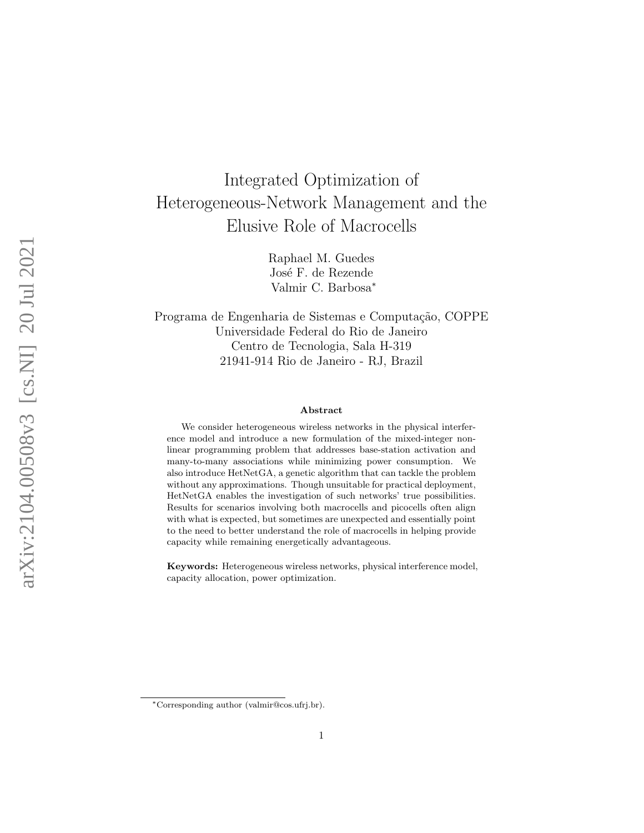# Integrated Optimization of Heterogeneous-Network Management and the Elusive Role of Macrocells

Raphael M. Guedes José F. de Rezende Valmir C. Barbosa<sup>∗</sup>

Programa de Engenharia de Sistemas e Computação, COPPE Universidade Federal do Rio de Janeiro Centro de Tecnologia, Sala H-319 21941-914 Rio de Janeiro - RJ, Brazil

#### Abstract

We consider heterogeneous wireless networks in the physical interference model and introduce a new formulation of the mixed-integer nonlinear programming problem that addresses base-station activation and many-to-many associations while minimizing power consumption. We also introduce HetNetGA, a genetic algorithm that can tackle the problem without any approximations. Though unsuitable for practical deployment, HetNetGA enables the investigation of such networks' true possibilities. Results for scenarios involving both macrocells and picocells often align with what is expected, but sometimes are unexpected and essentially point to the need to better understand the role of macrocells in helping provide capacity while remaining energetically advantageous.

Keywords: Heterogeneous wireless networks, physical interference model, capacity allocation, power optimization.

<sup>∗</sup>Corresponding author (valmir@cos.ufrj.br).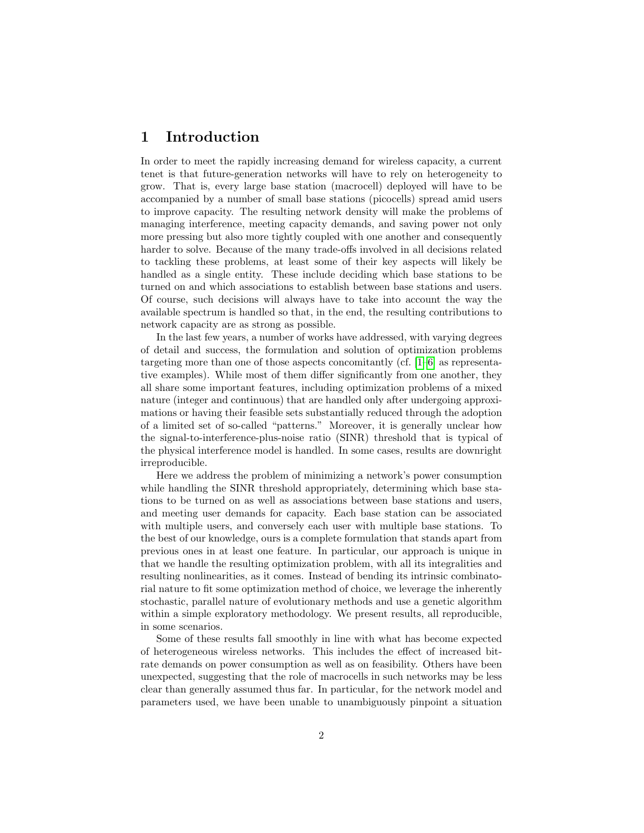#### <span id="page-1-0"></span>1 Introduction

In order to meet the rapidly increasing demand for wireless capacity, a current tenet is that future-generation networks will have to rely on heterogeneity to grow. That is, every large base station (macrocell) deployed will have to be accompanied by a number of small base stations (picocells) spread amid users to improve capacity. The resulting network density will make the problems of managing interference, meeting capacity demands, and saving power not only more pressing but also more tightly coupled with one another and consequently harder to solve. Because of the many trade-offs involved in all decisions related to tackling these problems, at least some of their key aspects will likely be handled as a single entity. These include deciding which base stations to be turned on and which associations to establish between base stations and users. Of course, such decisions will always have to take into account the way the available spectrum is handled so that, in the end, the resulting contributions to network capacity are as strong as possible.

In the last few years, a number of works have addressed, with varying degrees of detail and success, the formulation and solution of optimization problems targeting more than one of those aspects concomitantly (cf. [\[1–](#page-11-0)[6\]](#page-12-0) as representative examples). While most of them differ significantly from one another, they all share some important features, including optimization problems of a mixed nature (integer and continuous) that are handled only after undergoing approximations or having their feasible sets substantially reduced through the adoption of a limited set of so-called "patterns." Moreover, it is generally unclear how the signal-to-interference-plus-noise ratio (SINR) threshold that is typical of the physical interference model is handled. In some cases, results are downright irreproducible.

Here we address the problem of minimizing a network's power consumption while handling the SINR threshold appropriately, determining which base stations to be turned on as well as associations between base stations and users, and meeting user demands for capacity. Each base station can be associated with multiple users, and conversely each user with multiple base stations. To the best of our knowledge, ours is a complete formulation that stands apart from previous ones in at least one feature. In particular, our approach is unique in that we handle the resulting optimization problem, with all its integralities and resulting nonlinearities, as it comes. Instead of bending its intrinsic combinatorial nature to fit some optimization method of choice, we leverage the inherently stochastic, parallel nature of evolutionary methods and use a genetic algorithm within a simple exploratory methodology. We present results, all reproducible, in some scenarios.

Some of these results fall smoothly in line with what has become expected of heterogeneous wireless networks. This includes the effect of increased bitrate demands on power consumption as well as on feasibility. Others have been unexpected, suggesting that the role of macrocells in such networks may be less clear than generally assumed thus far. In particular, for the network model and parameters used, we have been unable to unambiguously pinpoint a situation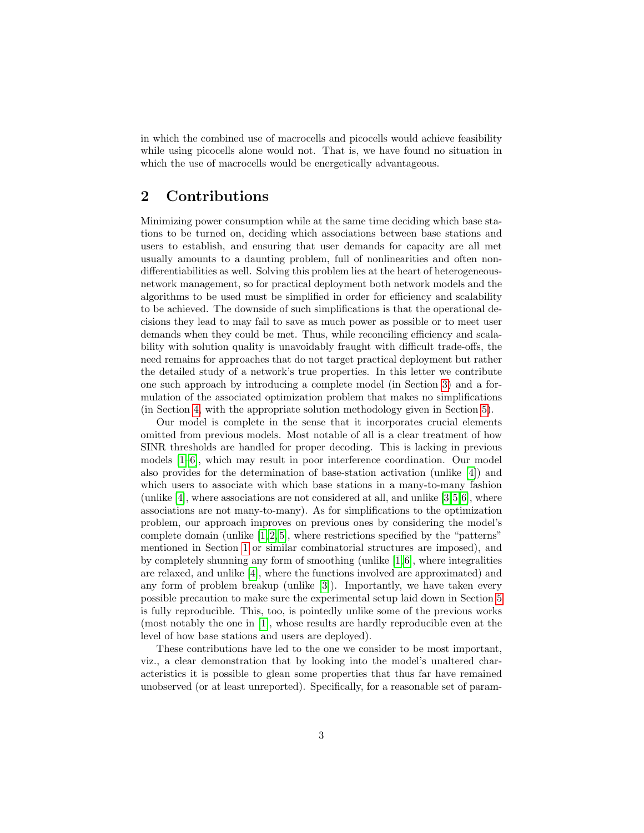in which the combined use of macrocells and picocells would achieve feasibility while using picocells alone would not. That is, we have found no situation in which the use of macrocells would be energetically advantageous.

## 2 Contributions

Minimizing power consumption while at the same time deciding which base stations to be turned on, deciding which associations between base stations and users to establish, and ensuring that user demands for capacity are all met usually amounts to a daunting problem, full of nonlinearities and often nondifferentiabilities as well. Solving this problem lies at the heart of heterogeneousnetwork management, so for practical deployment both network models and the algorithms to be used must be simplified in order for efficiency and scalability to be achieved. The downside of such simplifications is that the operational decisions they lead to may fail to save as much power as possible or to meet user demands when they could be met. Thus, while reconciling efficiency and scalability with solution quality is unavoidably fraught with difficult trade-offs, the need remains for approaches that do not target practical deployment but rather the detailed study of a network's true properties. In this letter we contribute one such approach by introducing a complete model (in Section [3\)](#page-3-0) and a formulation of the associated optimization problem that makes no simplifications (in Section [4,](#page-4-0) with the appropriate solution methodology given in Section [5\)](#page-6-0).

Our model is complete in the sense that it incorporates crucial elements omitted from previous models. Most notable of all is a clear treatment of how SINR thresholds are handled for proper decoding. This is lacking in previous models [\[1–](#page-11-0)[6\]](#page-12-0), which may result in poor interference coordination. Our model also provides for the determination of base-station activation (unlike [\[4\]](#page-11-1)) and which users to associate with which base stations in a many-to-many fashion (unlike [\[4\]](#page-11-1), where associations are not considered at all, and unlike [\[3,](#page-11-2)[5,](#page-11-3)[6\]](#page-12-0), where associations are not many-to-many). As for simplifications to the optimization problem, our approach improves on previous ones by considering the model's complete domain (unlike  $[1, 2, 5]$  $[1, 2, 5]$  $[1, 2, 5]$ , where restrictions specified by the "patterns" mentioned in Section [1](#page-1-0) or similar combinatorial structures are imposed), and by completely shunning any form of smoothing (unlike  $[1, 6]$  $[1, 6]$ , where integralities are relaxed, and unlike [\[4\]](#page-11-1), where the functions involved are approximated) and any form of problem breakup (unlike [\[3\]](#page-11-2)). Importantly, we have taken every possible precaution to make sure the experimental setup laid down in Section [5](#page-6-0) is fully reproducible. This, too, is pointedly unlike some of the previous works (most notably the one in [\[1\]](#page-11-0), whose results are hardly reproducible even at the level of how base stations and users are deployed).

These contributions have led to the one we consider to be most important, viz., a clear demonstration that by looking into the model's unaltered characteristics it is possible to glean some properties that thus far have remained unobserved (or at least unreported). Specifically, for a reasonable set of param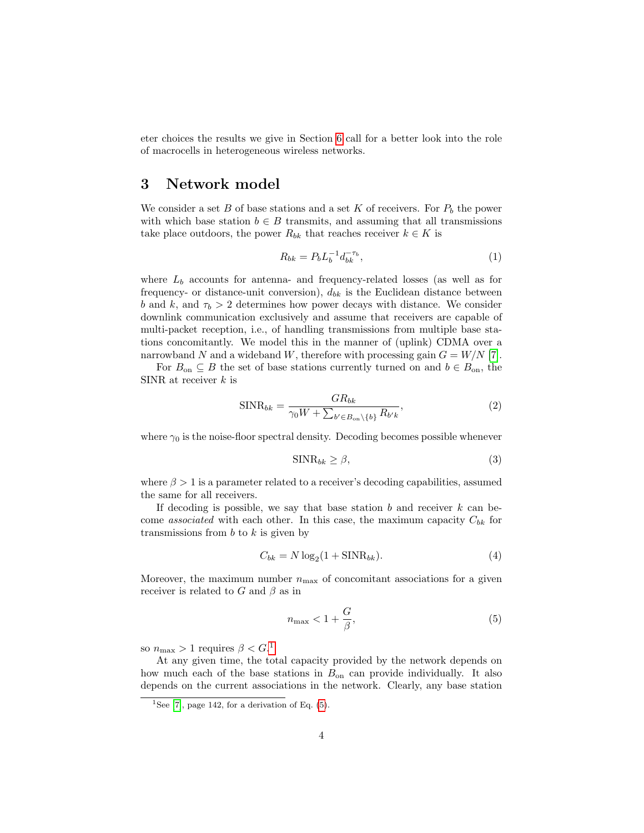eter choices the results we give in Section [6](#page-8-0) call for a better look into the role of macrocells in heterogeneous wireless networks.

#### <span id="page-3-0"></span>3 Network model

We consider a set B of base stations and a set K of receivers. For  $P_b$  the power with which base station  $b \in B$  transmits, and assuming that all transmissions take place outdoors, the power  $R_{bk}$  that reaches receiver  $k \in K$  is

<span id="page-3-6"></span>
$$
R_{bk} = P_b L_b^{-1} d_{bk}^{-\tau_b},\tag{1}
$$

where  $L_b$  accounts for antenna- and frequency-related losses (as well as for frequency- or distance-unit conversion),  $d_{bk}$  is the Euclidean distance between b and k, and  $\tau_b > 2$  determines how power decays with distance. We consider downlink communication exclusively and assume that receivers are capable of multi-packet reception, i.e., of handling transmissions from multiple base stations concomitantly. We model this in the manner of (uplink) CDMA over a narrowband N and a wideband W, therefore with processing gain  $G = W/N$  [\[7\]](#page-12-1).

For  $B_{\text{on}} \subseteq B$  the set of base stations currently turned on and  $b \in B_{\text{on}}$ , the SINR at receiver  $k$  is

<span id="page-3-5"></span>
$$
\text{SINR}_{bk} = \frac{GR_{bk}}{\gamma_0 W + \sum_{b' \in B_{\text{on}} \setminus \{b\}} R_{b'k}},\tag{2}
$$

where  $\gamma_0$  is the noise-floor spectral density. Decoding becomes possible whenever

<span id="page-3-4"></span>
$$
\text{SINR}_{bk} \ge \beta,\tag{3}
$$

where  $\beta > 1$  is a parameter related to a receiver's decoding capabilities, assumed the same for all receivers.

If decoding is possible, we say that base station  $b$  and receiver  $k$  can become *associated* with each other. In this case, the maximum capacity  $C_{bk}$  for transmissions from  $b$  to  $k$  is given by

<span id="page-3-3"></span>
$$
C_{bk} = N \log_2(1 + \text{SINR}_{bk}).\tag{4}
$$

Moreover, the maximum number  $n_{\text{max}}$  of concomitant associations for a given receiver is related to G and  $\beta$  as in

<span id="page-3-2"></span>
$$
n_{\max} < 1 + \frac{G}{\beta},\tag{5}
$$

so  $n_{\text{max}} > 1$  $n_{\text{max}} > 1$  requires  $\beta < G$ .<sup>1</sup>

At any given time, the total capacity provided by the network depends on how much each of the base stations in  $B_{\text{on}}$  can provide individually. It also depends on the current associations in the network. Clearly, any base station

<span id="page-3-1"></span><sup>&</sup>lt;sup>1</sup>See [\[7\]](#page-12-1), page 142, for a derivation of Eq.  $(5)$ .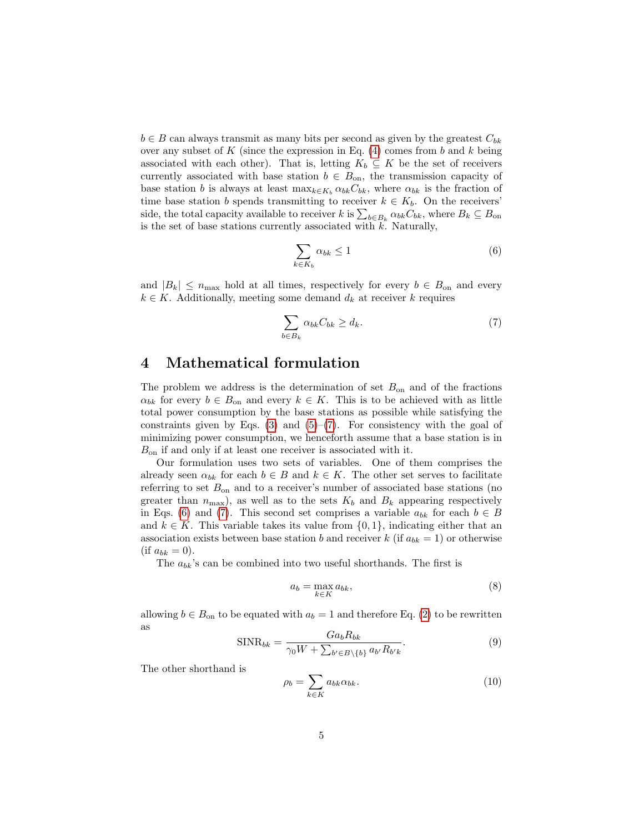$b \in B$  can always transmit as many bits per second as given by the greatest  $C_{bk}$ over any subset of  $K$  (since the expression in Eq. [\(4\)](#page-3-3) comes from  $b$  and  $k$  being associated with each other). That is, letting  $K_b \subseteq K$  be the set of receivers currently associated with base station  $b \in B_{\text{on}}$ , the transmission capacity of base station b is always at least  $\max_{k \in K_b} \alpha_{bk} C_{bk}$ , where  $\alpha_{bk}$  is the fraction of time base station b spends transmitting to receiver  $k \in K_b$ . On the receivers' side, the total capacity available to receiver k is  $\sum_{b \in B_k} \alpha_{bk} C_{bk}$ , where  $B_k \subseteq B_{\text{on}}$ is the set of base stations currently associated with  $k$ . Naturally,

<span id="page-4-2"></span>
$$
\sum_{k \in K_b} \alpha_{bk} \le 1 \tag{6}
$$

and  $|B_k| \leq n_{\text{max}}$  hold at all times, respectively for every  $b \in B_{\text{on}}$  and every  $k \in K$ . Additionally, meeting some demand  $d_k$  at receiver k requires

<span id="page-4-1"></span>
$$
\sum_{b \in B_k} \alpha_{bk} C_{bk} \ge d_k. \tag{7}
$$

#### <span id="page-4-0"></span>4 Mathematical formulation

The problem we address is the determination of set  $B_{\text{on}}$  and of the fractions  $\alpha_{bk}$  for every  $b \in B_{\text{on}}$  and every  $k \in K$ . This is to be achieved with as little total power consumption by the base stations as possible while satisfying the constraints given by Eqs.  $(3)$  and  $(5)-(7)$  $(5)-(7)$  $(5)-(7)$ . For consistency with the goal of minimizing power consumption, we henceforth assume that a base station is in  $B_{\text{on}}$  if and only if at least one receiver is associated with it.

Our formulation uses two sets of variables. One of them comprises the already seen  $\alpha_{bk}$  for each  $b \in B$  and  $k \in K$ . The other set serves to facilitate referring to set  $B_{\text{on}}$  and to a receiver's number of associated base stations (no greater than  $n_{\text{max}}$ , as well as to the sets  $K_b$  and  $B_k$  appearing respectively in Eqs. [\(6\)](#page-4-2) and [\(7\)](#page-4-1). This second set comprises a variable  $a_{bk}$  for each  $b \in B$ and  $k \in K$ . This variable takes its value from  $\{0,1\}$ , indicating either that an association exists between base station b and receiver k (if  $a_{bk} = 1$ ) or otherwise  $(i$ f  $a_{bk} = 0$ ).

The  $a_{bk}$ 's can be combined into two useful shorthands. The first is

$$
a_b = \max_{k \in K} a_{bk},\tag{8}
$$

allowing  $b \in B_{\text{on}}$  to be equated with  $a_b = 1$  and therefore Eq. [\(2\)](#page-3-5) to be rewritten as

$$
\text{SINR}_{bk} = \frac{G a_b R_{bk}}{\gamma_0 W + \sum_{b' \in B \setminus \{b\}} a_{b'} R_{b'k}}.
$$
\n(9)

The other shorthand is

<span id="page-4-3"></span>
$$
\rho_b = \sum_{k \in K} a_{bk} \alpha_{bk}.\tag{10}
$$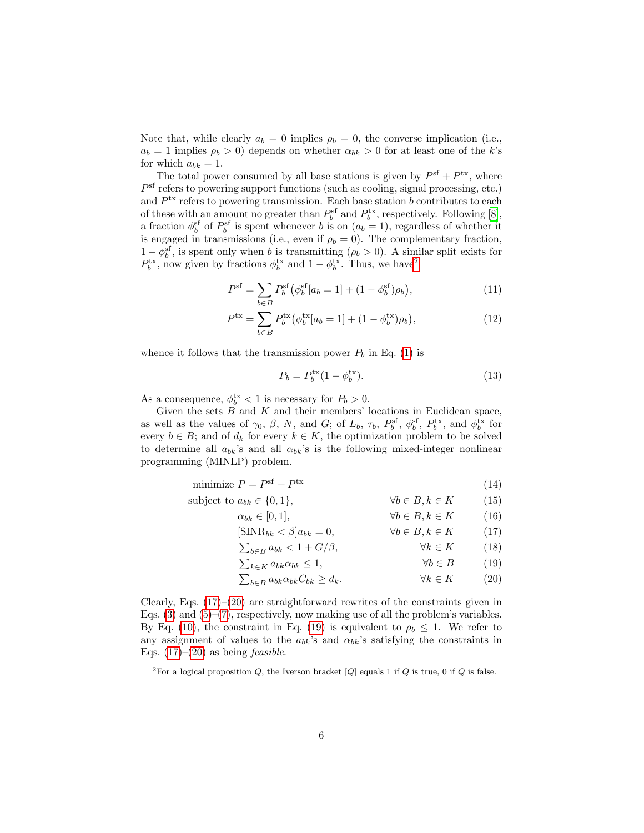Note that, while clearly  $a_b = 0$  implies  $\rho_b = 0$ , the converse implication (i.e.,  $a_b = 1$  implies  $\rho_b > 0$ ) depends on whether  $\alpha_{bk} > 0$  for at least one of the k's for which  $a_{bk} = 1$ .

The total power consumed by all base stations is given by  $P^{\text{sf}} + P^{\text{tx}}$ , where  $P<sup>sf</sup>$  refers to powering support functions (such as cooling, signal processing, etc.) and  $P<sup>tx</sup>$  refers to powering transmission. Each base station b contributes to each of these with an amount no greater than  $P_b^{\text{sf}}$  and  $P_b^{\text{tx}}$ , respectively. Following [\[8\]](#page-12-2), a fraction  $\phi_b^{\text{sf}}$  of  $P_b^{\text{sf}}$  is spent whenever b is on  $(a_b = 1)$ , regardless of whether it is engaged in transmissions (i.e., even if  $\rho_b = 0$ ). The complementary fraction,  $1 - \phi_b^{\text{sf}}$ , is spent only when b is transmitting  $(\rho_b > 0)$ . A similar split exists for  $P_b^{\text{tx}}$ , now given by fractions  $\phi_b^{\text{tx}}$  and  $1 - \phi_b^{\text{tx}}$ . Thus, we have<sup>[2](#page-5-0)</sup>

$$
P^{\rm sf} = \sum_{b \in B} P_b^{\rm sf} \left( \phi_b^{\rm sf} [a_b = 1] + (1 - \phi_b^{\rm sf}) \rho_b \right), \tag{11}
$$

$$
P^{tx} = \sum_{b \in B} P_b^{tx} (\phi_b^{tx} [a_b = 1] + (1 - \phi_b^{tx}) \rho_b), \qquad (12)
$$

whence it follows that the transmission power  $P_b$  in Eq. [\(1\)](#page-3-6) is

<span id="page-5-5"></span><span id="page-5-4"></span>
$$
P_b = P_b^{\text{tx}} (1 - \phi_b^{\text{tx}}). \tag{13}
$$

As a consequence,  $\phi_b^{\text{tx}} < 1$  is necessary for  $P_b > 0$ .

Given the sets  $B$  and  $K$  and their members' locations in Euclidean space, as well as the values of  $\gamma_0$ ,  $\beta$ ,  $N$ , and  $G$ ; of  $L_b$ ,  $\tau_b$ ,  $P_b^{\rm sf}$ ,  $\phi_b^{\rm sf}$ ,  $P_b^{\rm tx}$ , and  $\phi_b^{\rm tx}$  for every  $b \in B$ ; and of  $d_k$  for every  $k \in K$ , the optimization problem to be solved to determine all  $a_{bk}$ 's and all  $\alpha_{bk}$ 's is the following mixed-integer nonlinear programming (MINLP) problem.

| minimize $P = Psf + Ptx$ |  | (14)     |
|--------------------------|--|----------|
|                          |  | $\cdots$ |

$$
\text{subject to } a_{bk} \in \{0, 1\}, \qquad \forall b \in B, k \in K \qquad (15)
$$
\n
$$
\alpha_{bk} \in [0, 1], \qquad \forall b \in B, k \in K \qquad (16)
$$
\n
$$
[\text{SINR}_{bk} < \beta]a_{bk} = 0, \qquad \forall b \in B, k \in K \qquad (17)
$$

<span id="page-5-3"></span><span id="page-5-1"></span> $\sum_{b \in B} a_{bk} < 1 + G/\beta, \qquad \forall k \in K \qquad (18)$ 

 $\sum_{k \in K} a_{bk} \alpha_{bk} \leq 1, \qquad \forall b \in B \qquad (19)$ 

<span id="page-5-2"></span>
$$
\sum_{b \in B} a_{bk} \alpha_{bk} C_{bk} \ge d_k. \qquad \forall k \in K \qquad (20)
$$

Clearly, Eqs. [\(17\)](#page-5-1)–[\(20\)](#page-5-2) are straightforward rewrites of the constraints given in Eqs.  $(3)$  and  $(5)-(7)$  $(5)-(7)$  $(5)-(7)$ , respectively, now making use of all the problem's variables. By Eq. [\(10\)](#page-4-3), the constraint in Eq. [\(19\)](#page-5-3) is equivalent to  $\rho_b \leq 1$ . We refer to any assignment of values to the  $a_{bk}$ 's and  $\alpha_{bk}$ 's satisfying the constraints in Eqs.  $(17)$ – $(20)$  as being *feasible*.

<span id="page-5-0"></span><sup>&</sup>lt;sup>2</sup>For a logical proposition Q, the Iverson bracket [Q] equals 1 if Q is true, 0 if Q is false.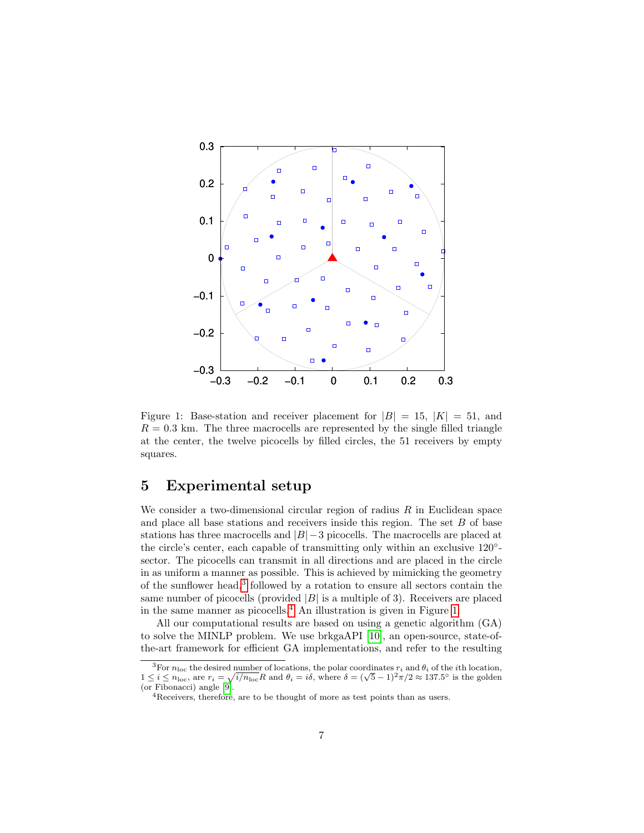

<span id="page-6-3"></span>Figure 1: Base-station and receiver placement for  $|B| = 15$ ,  $|K| = 51$ , and  $R = 0.3$  km. The three macrocells are represented by the single filled triangle at the center, the twelve picocells by filled circles, the 51 receivers by empty squares.

#### <span id="page-6-0"></span>5 Experimental setup

We consider a two-dimensional circular region of radius  $R$  in Euclidean space and place all base stations and receivers inside this region. The set  $B$  of base stations has three macrocells and  $|B|-3$  picocells. The macrocells are placed at the circle's center, each capable of transmitting only within an exclusive 120<sup>°</sup>sector. The picocells can transmit in all directions and are placed in the circle in as uniform a manner as possible. This is achieved by mimicking the geometry of the sunflower head,<sup>[3](#page-6-1)</sup> followed by a rotation to ensure all sectors contain the same number of picocells (provided  $|B|$  is a multiple of 3). Receivers are placed in the same manner as picocells.<sup>[4](#page-6-2)</sup> An illustration is given in Figure [1.](#page-6-3)

All our computational results are based on using a genetic algorithm (GA) to solve the MINLP problem. We use brkgaAPI [\[10\]](#page-12-3), an open-source, state-ofthe-art framework for efficient GA implementations, and refer to the resulting

<span id="page-6-1"></span><sup>&</sup>lt;sup>3</sup>For  $n_{\text{loc}}$  the desired number of locations, the polar coordinates  $r_i$  and  $\theta_i$  of the *i*th location, For  $n_{\text{loc}}$  the desired number of locations, the polar coordinates  $r_i$  and  $\theta_i$  of the *i*th location,<br> $1 \le i \le n_{\text{loc}}$ , are  $r_i = \sqrt{i/n_{\text{loc}}}R$  and  $\theta_i = i\delta$ , where  $\delta = (\sqrt{5}-1)^2\pi/2 \approx 137.5^\circ$  is the golden (or Fibonacci) angle [\[9\]](#page-12-4).

<span id="page-6-2"></span><sup>4</sup>Receivers, therefore, are to be thought of more as test points than as users.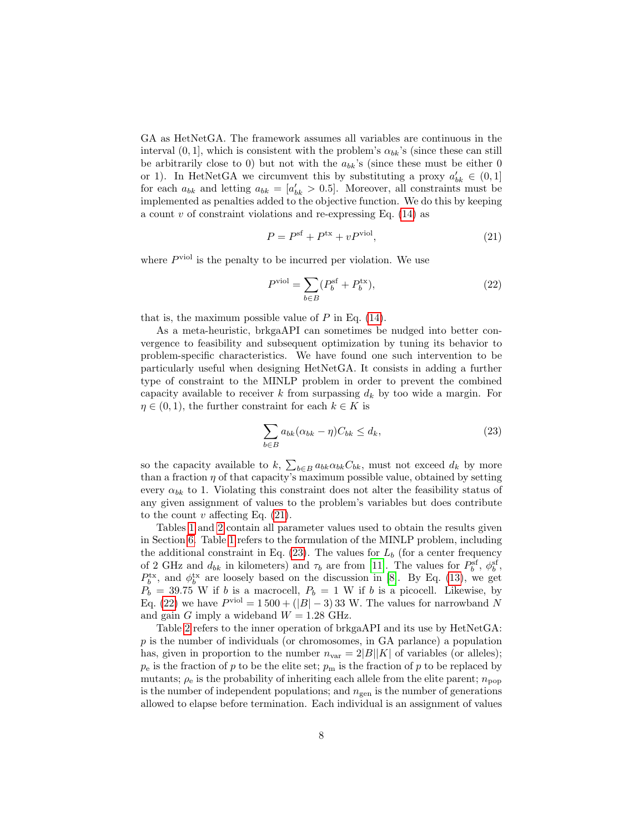GA as HetNetGA. The framework assumes all variables are continuous in the interval  $(0, 1]$ , which is consistent with the problem's  $\alpha_{bk}$ 's (since these can still be arbitrarily close to 0) but not with the  $a_{bk}$ 's (since these must be either 0 or 1). In HetNetGA we circumvent this by substituting a proxy  $a'_{bk} \in (0,1]$ for each  $a_{bk}$  and letting  $a_{bk} = [a'_{bk} > 0.5]$ . Moreover, all constraints must be implemented as penalties added to the objective function. We do this by keeping a count  $v$  of constraint violations and re-expressing Eq. [\(14\)](#page-5-4) as

<span id="page-7-0"></span>
$$
P = Psf + Ptx + vPviol,
$$
\n(21)

where  $P<sup>viol</sup>$  is the penalty to be incurred per violation. We use

<span id="page-7-2"></span>
$$
P^{\text{viol}} = \sum_{b \in B} (P_b^{\text{sf}} + P_b^{\text{tx}}), \tag{22}
$$

that is, the maximum possible value of  $P$  in Eq. [\(14\)](#page-5-4).

As a meta-heuristic, brkgaAPI can sometimes be nudged into better convergence to feasibility and subsequent optimization by tuning its behavior to problem-specific characteristics. We have found one such intervention to be particularly useful when designing HetNetGA. It consists in adding a further type of constraint to the MINLP problem in order to prevent the combined capacity available to receiver k from surpassing  $d_k$  by too wide a margin. For  $\eta \in (0, 1)$ , the further constraint for each  $k \in K$  is

<span id="page-7-1"></span>
$$
\sum_{b \in B} a_{bk} (\alpha_{bk} - \eta) C_{bk} \le d_k,
$$
\n(23)

so the capacity available to  $k$ ,  $\sum_{b \in B} a_{bk} \alpha_{bk} C_{bk}$ , must not exceed  $d_k$  by more than a fraction  $\eta$  of that capacity's maximum possible value, obtained by setting every  $\alpha_{bk}$  to 1. Violating this constraint does not alter the feasibility status of any given assignment of values to the problem's variables but does contribute to the count  $v$  affecting Eq. [\(21\)](#page-7-0).

Tables [1](#page-8-1) and [2](#page-8-2) contain all parameter values used to obtain the results given in Section [6.](#page-8-0) Table [1](#page-8-1) refers to the formulation of the MINLP problem, including the additional constraint in Eq. [\(23\)](#page-7-1). The values for  $L_b$  (for a center frequency of 2 GHz and  $d_{bk}$  in kilometers) and  $\tau_b$  are from [\[11\]](#page-12-5). The values for  $P_b^{\text{sf}}$ ,  $\phi_b^{\text{sf}}$ ,  $P_b^{\text{tx}}$ , and  $\phi_b^{\text{tx}}$  are loosely based on the discussion in [\[8\]](#page-12-2). By Eq. [\(13\)](#page-5-5), we get  $P_b = 39.75$  W if b is a macrocell,  $P_b = 1$  W if b is a picocell. Likewise, by Eq. [\(22\)](#page-7-2) we have  $P<sup>viol</sup> = 1500 + (|B| - 3)33$  W. The values for narrowband N and gain G imply a wideband  $W = 1.28$  GHz.

Table [2](#page-8-2) refers to the inner operation of brkgaAPI and its use by HetNetGA: p is the number of individuals (or chromosomes, in GA parlance) a population has, given in proportion to the number  $n_{\text{var}} = 2|B||K|$  of variables (or alleles);  $p_e$  is the fraction of p to be the elite set;  $p_m$  is the fraction of p to be replaced by mutants;  $\rho_e$  is the probability of inheriting each allele from the elite parent;  $n_{\text{pop}}$ is the number of independent populations; and  $n_{gen}$  is the number of generations allowed to elapse before termination. Each individual is an assignment of values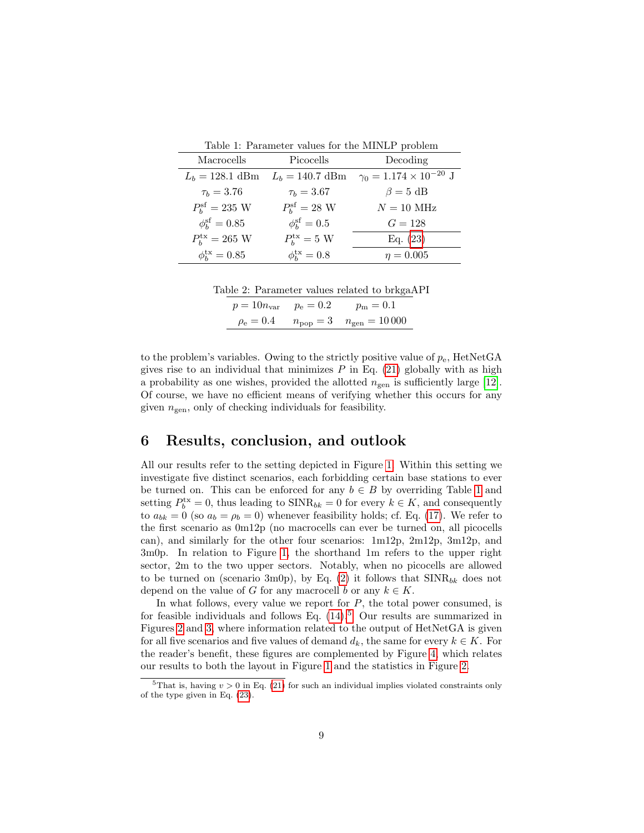<span id="page-8-1"></span>

| Table 1: Parameter values for the MINLP problem |  |
|-------------------------------------------------|--|
|-------------------------------------------------|--|

| Macrocells                   | Picocells                  | Decoding                             |
|------------------------------|----------------------------|--------------------------------------|
| $L_h = 128.1$ dBm            | $L_b = 140.7$ dBm          | $\gamma_0 = 1.174 \times 10^{-20}$ J |
| $\tau_b = 3.76$              | $\tau_b = 3.67$            | $\beta = 5$ dB                       |
| $P_h^{\rm sf} = 235~{\rm W}$ | $P_h^{\text{sf}} = 28$ W   | $N = 10$ MHz                         |
| $\phi_{h}^{\rm sf} = 0.85$   | $\phi_{h}^{\text{sf}}=0.5$ | $G = 128$                            |
| $P_{h}^{tx} = 265$ W         | $P_h^{\text{tx}} = 5$ W    | Eq. $(23)$                           |
| $\phi_b^{\text{tx}} = 0.85$  | $\phi_b^{\text{tx}} = 0.8$ | $\eta = 0.005$                       |

Table 2: Parameter values related to brkgaAPI

<span id="page-8-2"></span>

| $p = 10n_{\text{var}}$ $p_e = 0.2$ | $p_{\rm m} = 0.1$                       |
|------------------------------------|-----------------------------------------|
| $\rho_{\rm e} = 0.4$               | $n_{\rm pop} = 3$ $n_{\rm gen} = 10000$ |

to the problem's variables. Owing to the strictly positive value of  $p_e$ , HetNetGA gives rise to an individual that minimizes  $P$  in Eq. [\(21\)](#page-7-0) globally with as high a probability as one wishes, provided the allotted  $n_{\text{gen}}$  is sufficiently large [\[12\]](#page-12-6). Of course, we have no efficient means of verifying whether this occurs for any given  $n_{\text{gen}}$ , only of checking individuals for feasibility.

#### <span id="page-8-0"></span>6 Results, conclusion, and outlook

All our results refer to the setting depicted in Figure [1.](#page-6-3) Within this setting we investigate five distinct scenarios, each forbidding certain base stations to ever be turned on. This can be enforced for any  $b \in B$  by overriding Table [1](#page-8-1) and setting  $P_b^{\text{tx}} = 0$ , thus leading to  $\text{SINR}_{bk} = 0$  for every  $k \in K$ , and consequently to  $a_{bk} = 0$  (so  $a_b = \rho_b = 0$ ) whenever feasibility holds; cf. Eq. [\(17\)](#page-5-1). We refer to the first scenario as 0m12p (no macrocells can ever be turned on, all picocells can), and similarly for the other four scenarios: 1m12p, 2m12p, 3m12p, and 3m0p. In relation to Figure [1,](#page-6-3) the shorthand 1m refers to the upper right sector, 2m to the two upper sectors. Notably, when no picocells are allowed to be turned on (scenario 3m0p), by Eq. [\(2\)](#page-3-5) it follows that  $\text{SINR}_{bk}$  does not depend on the value of G for any macrocell b or any  $k \in K$ .

In what follows, every value we report for  $P$ , the total power consumed, is for feasible individuals and follows Eq.  $(14)$ .<sup>[5](#page-8-3)</sup> Our results are summarized in Figures [2](#page-9-0) and [3,](#page-10-0) where information related to the output of HetNetGA is given for all five scenarios and five values of demand  $d_k$ , the same for every  $k \in K$ . For the reader's benefit, these figures are complemented by Figure [4,](#page-11-5) which relates our results to both the layout in Figure [1](#page-6-3) and the statistics in Figure [2.](#page-9-0)

<span id="page-8-3"></span><sup>&</sup>lt;sup>5</sup>That is, having  $v > 0$  in Eq. [\(21\)](#page-7-0) for such an individual implies violated constraints only of the type given in Eq. [\(23\)](#page-7-1).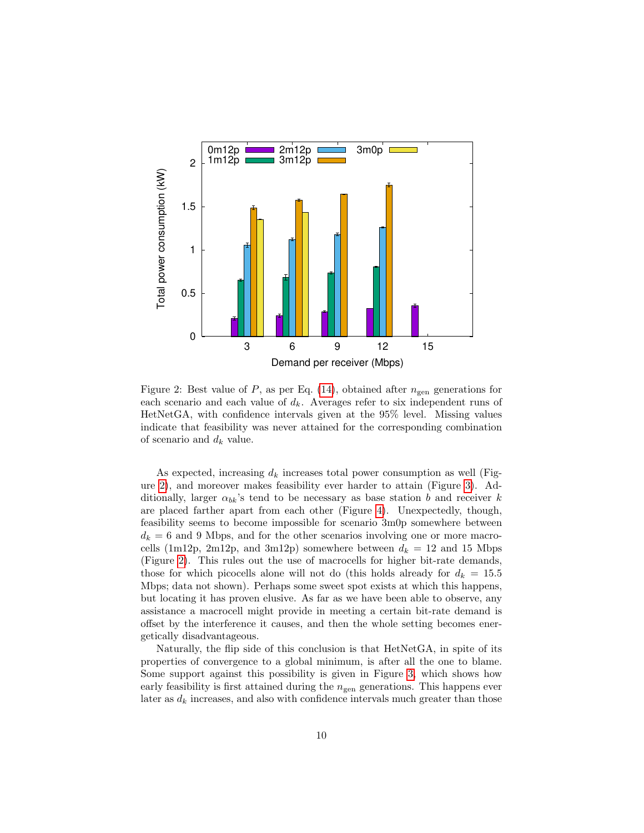

<span id="page-9-0"></span>Figure 2: Best value of  $P$ , as per Eq. [\(14\)](#page-5-4), obtained after  $n_{gen}$  generations for each scenario and each value of  $d_k$ . Averages refer to six independent runs of HetNetGA, with confidence intervals given at the 95% level. Missing values indicate that feasibility was never attained for the corresponding combination of scenario and  $d_k$  value.

As expected, increasing  $d_k$  increases total power consumption as well (Figure [2\)](#page-9-0), and moreover makes feasibility ever harder to attain (Figure [3\)](#page-10-0). Additionally, larger  $\alpha_{bk}$ 's tend to be necessary as base station b and receiver k are placed farther apart from each other (Figure [4\)](#page-11-5). Unexpectedly, though, feasibility seems to become impossible for scenario 3m0p somewhere between  $d_k = 6$  and 9 Mbps, and for the other scenarios involving one or more macrocells (1m12p, 2m12p, and 3m12p) somewhere between  $d_k = 12$  and 15 Mbps (Figure [2\)](#page-9-0). This rules out the use of macrocells for higher bit-rate demands, those for which picocells alone will not do (this holds already for  $d_k = 15.5$ Mbps; data not shown). Perhaps some sweet spot exists at which this happens, but locating it has proven elusive. As far as we have been able to observe, any assistance a macrocell might provide in meeting a certain bit-rate demand is offset by the interference it causes, and then the whole setting becomes energetically disadvantageous.

Naturally, the flip side of this conclusion is that HetNetGA, in spite of its properties of convergence to a global minimum, is after all the one to blame. Some support against this possibility is given in Figure [3,](#page-10-0) which shows how early feasibility is first attained during the  $n_{\text{gen}}$  generations. This happens ever later as  $d_k$  increases, and also with confidence intervals much greater than those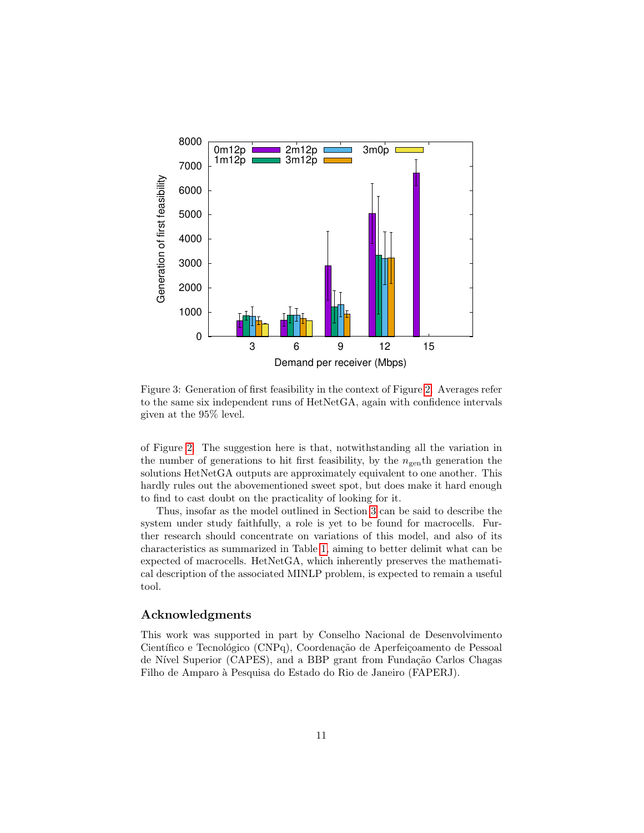

<span id="page-10-0"></span>Figure 3: Generation of first feasibility in the context of Figure [2.](#page-9-0) Averages refer to the same six independent runs of HetNetGA, again with confidence intervals given at the 95% level.

of Figure [2.](#page-9-0) The suggestion here is that, notwithstanding all the variation in the number of generations to hit first feasibility, by the  $n_{\text{gen}}$ <sup>th</sup> generation the solutions HetNetGA outputs are approximately equivalent to one another. This hardly rules out the abovementioned sweet spot, but does make it hard enough to find to cast doubt on the practicality of looking for it.

Thus, insofar as the model outlined in Section [3](#page-3-0) can be said to describe the system under study faithfully, a role is yet to be found for macrocells. Further research should concentrate on variations of this model, and also of its characteristics as summarized in Table [1,](#page-8-1) aiming to better delimit what can be expected of macrocells. HetNetGA, which inherently preserves the mathematical description of the associated MINLP problem, is expected to remain a useful tool.

#### Acknowledgments

This work was supported in part by Conselho Nacional de Desenvolvimento Científico e Tecnológico (CNPq), Coordenação de Aperfeiçoamento de Pessoal de Nível Superior (CAPES), and a BBP grant from Fundação Carlos Chagas Filho de Amparo `a Pesquisa do Estado do Rio de Janeiro (FAPERJ).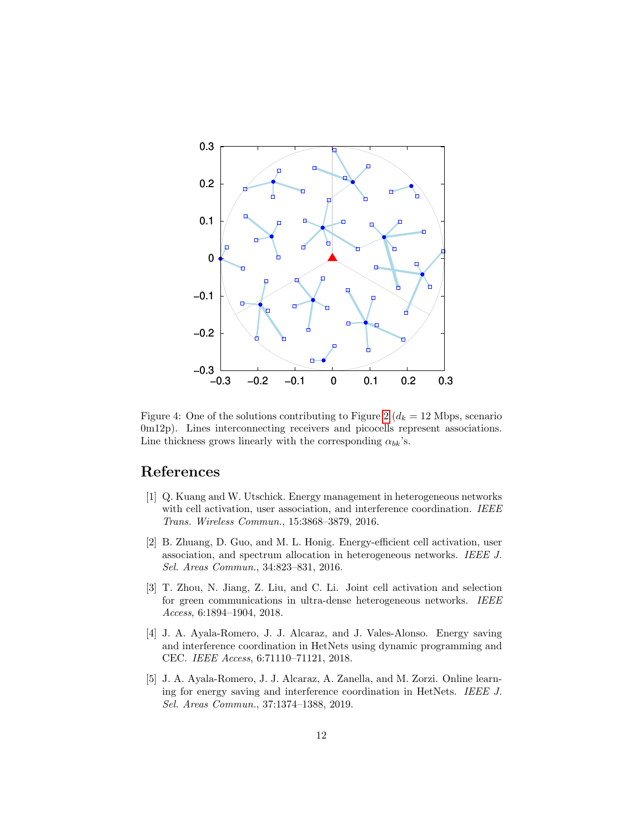

<span id="page-11-5"></span>Figure 4: One of the solutions contributing to Figure [2](#page-9-0) ( $d_k = 12$  Mbps, scenario 0m12p). Lines interconnecting receivers and picocells represent associations. Line thickness grows linearly with the corresponding  $\alpha_{bk}$ 's.

## References

- <span id="page-11-0"></span>[1] Q. Kuang and W. Utschick. Energy management in heterogeneous networks with cell activation, user association, and interference coordination. IEEE Trans. Wireless Commun., 15:3868–3879, 2016.
- <span id="page-11-4"></span>[2] B. Zhuang, D. Guo, and M. L. Honig. Energy-efficient cell activation, user association, and spectrum allocation in heterogeneous networks. IEEE J. Sel. Areas Commun., 34:823–831, 2016.
- <span id="page-11-2"></span>[3] T. Zhou, N. Jiang, Z. Liu, and C. Li. Joint cell activation and selection for green communications in ultra-dense heterogeneous networks. IEEE Access, 6:1894–1904, 2018.
- <span id="page-11-1"></span>[4] J. A. Ayala-Romero, J. J. Alcaraz, and J. Vales-Alonso. Energy saving and interference coordination in HetNets using dynamic programming and CEC. IEEE Access, 6:71110–71121, 2018.
- <span id="page-11-3"></span>[5] J. A. Ayala-Romero, J. J. Alcaraz, A. Zanella, and M. Zorzi. Online learning for energy saving and interference coordination in HetNets. IEEE J. Sel. Areas Commun., 37:1374–1388, 2019.